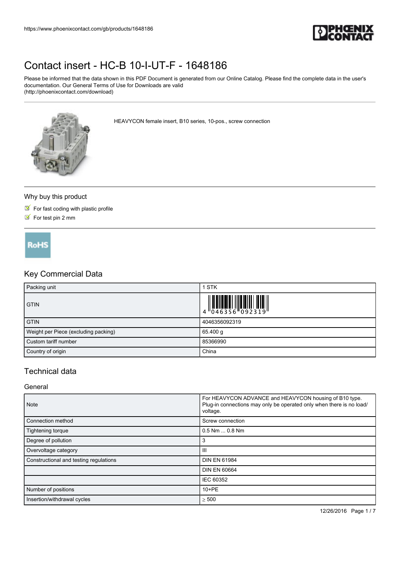

Please be informed that the data shown in this PDF Document is generated from our Online Catalog. Please find the complete data in the user's documentation. Our General Terms of Use for Downloads are valid (http://phoenixcontact.com/download)

HEAVYCON female insert, B10 series, 10-pos., screw connection

#### Why buy this product

- $\blacksquare$  For fast coding with plastic profile
- $\triangleright$  For test pin 2 mm

**RoHS** 

## Key Commercial Data

| Packing unit                         | <b>STK</b>    |
|--------------------------------------|---------------|
| <b>GTIN</b>                          |               |
| <b>GTIN</b>                          | 4046356092319 |
| Weight per Piece (excluding packing) | 65.400 g      |
| Custom tariff number                 | 85366990      |
| Country of origin                    | China         |

### Technical data

#### General

| Note                                   | For HEAVYCON ADVANCE and HEAVYCON housing of B10 type.<br>Plug-in connections may only be operated only when there is no load/<br>voltage. |  |
|----------------------------------------|--------------------------------------------------------------------------------------------------------------------------------------------|--|
| Connection method                      | Screw connection                                                                                                                           |  |
| Tightening torque                      | $0.5$ Nm $$ 0.8 Nm                                                                                                                         |  |
| Degree of pollution                    | 3                                                                                                                                          |  |
| Overvoltage category                   | Ш                                                                                                                                          |  |
| Constructional and testing regulations | <b>DIN EN 61984</b>                                                                                                                        |  |
|                                        | <b>DIN EN 60664</b>                                                                                                                        |  |
|                                        | IEC 60352                                                                                                                                  |  |
| Number of positions                    | $10 + PE$                                                                                                                                  |  |
| Insertion/withdrawal cycles            | $\geq 500$                                                                                                                                 |  |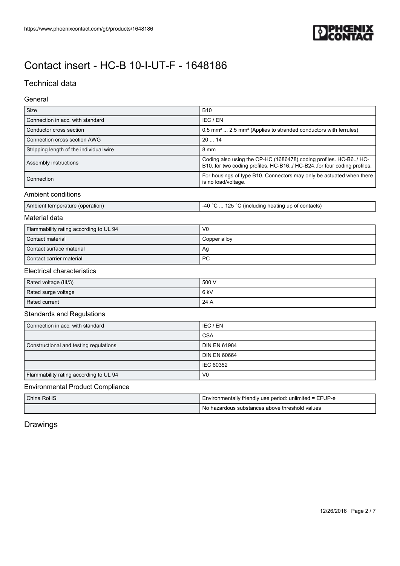

## Technical data

### General

| Size                                    | <b>B10</b>                                                                                                                                   |  |
|-----------------------------------------|----------------------------------------------------------------------------------------------------------------------------------------------|--|
| Connection in acc. with standard        | IEC / EN                                                                                                                                     |  |
| Conductor cross section                 | 0.5 mm <sup>2</sup> 2.5 mm <sup>2</sup> (Applies to stranded conductors with ferrules)                                                       |  |
| Connection cross section AWG            | 2014                                                                                                                                         |  |
| Stripping length of the individual wire | 8 mm                                                                                                                                         |  |
| Assembly instructions                   | Coding also using the CP-HC (1686478) coding profiles. HC-B6/ HC-<br>B10. for two coding profiles. HC-B16/ HC-B24. for four coding profiles. |  |
| Connection                              | For housings of type B10. Connectors may only be actuated when there<br>is no load/voltage.                                                  |  |
| A mala in mit in mind it in min         |                                                                                                                                              |  |

#### Ambient conditions

|  | Ambient temperati<br>t temperature (operation). | $\sim$<br>$-40o$<br>.05<br>$\sim$<br>⊧up of contacts)<br>(including heating)<br>71 |
|--|-------------------------------------------------|------------------------------------------------------------------------------------|
|--|-------------------------------------------------|------------------------------------------------------------------------------------|

### Material data

| Flammability rating according to UL 94 | V <sub>0</sub> |
|----------------------------------------|----------------|
| Contact material                       | Copper alloy   |
| Contact surface material               | Ag             |
| Contact carrier material               | <b>PC</b>      |

### Electrical characteristics

| Rated voltage (III/3) | 500 V |
|-----------------------|-------|
| Rated surge voltage   | 6 kV  |
| Rated current         | 24 A  |

### Standards and Regulations

| Connection in acc. with standard       | I IEC / EN          |
|----------------------------------------|---------------------|
|                                        | <b>CSA</b>          |
| Constructional and testing regulations | <b>DIN EN 61984</b> |
|                                        | <b>DIN EN 60664</b> |
|                                        | I IEC 60352         |
| Flammability rating according to UL 94 | V <sub>0</sub>      |

#### Environmental Product Compliance

| China RoHS | I Environmentally friendly use period: unlimited = EFUP-e |
|------------|-----------------------------------------------------------|
|            | . No hazardous substances above threshold values          |

## Drawings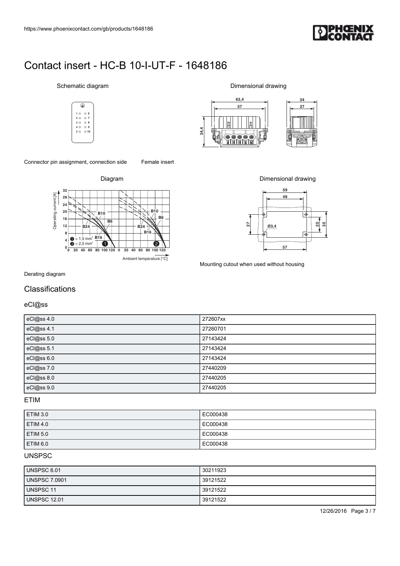

#### Schematic diagram











Mounting cutout when used without housing

### **Classifications**

| https://www.phoenixcontact.com/gb/products/1648186                                                                                          |                                              |
|---------------------------------------------------------------------------------------------------------------------------------------------|----------------------------------------------|
|                                                                                                                                             |                                              |
|                                                                                                                                             |                                              |
| Contact insert - HC-B 10-I-UT-F - 1648186                                                                                                   |                                              |
| Schematic diagram                                                                                                                           | Dimensional drawing                          |
| ⊕                                                                                                                                           | 63,4<br>34<br>57<br>27                       |
| 10006<br>2007<br>$O_8$<br>$3^\circ$<br>O <sub>9</sub><br>4 O                                                                                | F                                            |
| 50010                                                                                                                                       | 34.4<br><del>©©©©©</del><br>HHIHHH<br>ÞМ     |
| Connector pin assignment, connection side<br>Female insert                                                                                  |                                              |
| Diagram                                                                                                                                     | Dimensional drawing                          |
| 32<br>28<br>24                                                                                                                              | 59<br>49                                     |
| Operating current [A]<br><b>B10</b><br>${\bf 20}$<br><b>B10</b><br><b>B6</b><br>16<br>$\overline{B6}$<br>$12\,$<br><b>B24</b><br><b>B24</b> | ⊺∳<br>ន $\vert$ ន<br>$\overline{27}$<br>Q3,4 |
| <b>B16</b><br>8<br>$= 1.5$ mm <sup>2</sup> $\underline{B16}$<br>A<br>$\overline{\mathbf{4}}$<br>2<br>$= 2.5$ mm <sup>2</sup><br>€<br>v      | v<br>$\Rightarrow$<br>ඦ<br>57                |
| $\mathbf{0}^{\:\text{\tiny L}}_{\:\text{\tiny 0}}$<br>20 40 60 80 100 120 0 20 40 60 80 100 120<br>Ambient temperature [°C]                 | Mounting cutout when used without housing    |
| Derating diagram                                                                                                                            |                                              |
| Classifications                                                                                                                             |                                              |
| eCl@ss<br>eCl@ss 4.0                                                                                                                        | 272607xx                                     |
| $\overline{eCl@ss4.1}$                                                                                                                      | 27260701                                     |
| eCl@ss 5.0<br>eCl@ss 5.1                                                                                                                    | 27143424<br>27143424                         |
| eCl@ss 6.0                                                                                                                                  | 27143424                                     |
| eCl@ss 7.0                                                                                                                                  | 27440209                                     |
| eCl@ss 8.0<br>eCl@ss 9.0                                                                                                                    | 27440205<br>27440205                         |

ETIM

| <b>ETIM 3.0</b> | EC000438 |
|-----------------|----------|
| <b>ETIM 4.0</b> | EC000438 |
| <b>ETIM 5.0</b> | EC000438 |
| <b>ETIM 6.0</b> | EC000438 |

### **UNSPSC**

| UNSPSC 6.01          | 30211923 |
|----------------------|----------|
| <b>UNSPSC 7.0901</b> | 39121522 |
| <b>UNSPSC 11</b>     | 39121522 |
| <b>UNSPSC 12.01</b>  | 39121522 |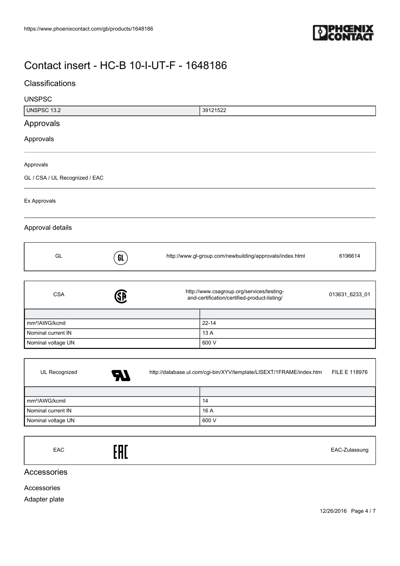

## **Classifications**

| <b>UNSPSC</b>                  |    |                                                                                           |                                                          |                |
|--------------------------------|----|-------------------------------------------------------------------------------------------|----------------------------------------------------------|----------------|
| <b>UNSPSC 13.2</b>             |    |                                                                                           | 39121522                                                 |                |
| Approvals                      |    |                                                                                           |                                                          |                |
| Approvals                      |    |                                                                                           |                                                          |                |
| Approvals                      |    |                                                                                           |                                                          |                |
| GL / CSA / UL Recognized / EAC |    |                                                                                           |                                                          |                |
| Ex Approvals                   |    |                                                                                           |                                                          |                |
| Approval details               |    |                                                                                           |                                                          |                |
| GL                             | GL |                                                                                           | http://www.gl-group.com/newbuilding/approvals/index.html | 6196614        |
|                                |    |                                                                                           |                                                          |                |
| <b>CSA</b>                     | E  | http://www.csagroup.org/services/testing-<br>and-certification/certified-product-listing/ |                                                          | 013631_6233_01 |
|                                |    |                                                                                           |                                                          |                |
| mm <sup>2</sup> /AWG/kcmil     |    |                                                                                           | $22 - 14$                                                |                |
| Nominal current IN             |    |                                                                                           | 13 A                                                     |                |
| Nominal voltage UN             |    |                                                                                           | 600 V                                                    |                |
|                                |    |                                                                                           |                                                          |                |
|                                |    |                                                                                           |                                                          |                |

| UL Recognized              | 57 | http://database.ul.com/cgi-bin/XYV/template/LISEXT/1FRAME/index.htm |       | FILE E 118976 |
|----------------------------|----|---------------------------------------------------------------------|-------|---------------|
|                            |    |                                                                     |       |               |
| mm <sup>2</sup> /AWG/kcmil |    |                                                                     | 14    |               |
| Nominal current IN         |    |                                                                     | 16 A  |               |
| Nominal voltage UN         |    |                                                                     | 600 V |               |

EAC EAC-Zulassung

Accessories

Accessories

Adapter plate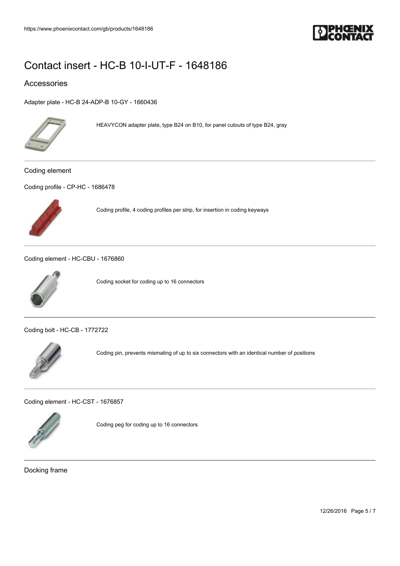

#### Accessories

[Adapter plate - HC-B 24-ADP-B 10-GY - 1660436](https://www.phoenixcontact.com/gb/products/1660436)



HEAVYCON adapter plate, type B24 on B10, for panel cutouts of type B24, gray

Coding element

[Coding profile - CP-HC - 1686478](https://www.phoenixcontact.com/gb/products/1686478)



Coding profile, 4 coding profiles per strip, for insertion in coding keyways

[Coding element - HC-CBU - 1676860](https://www.phoenixcontact.com/gb/products/1676860)



Coding socket for coding up to 16 connectors

[Coding bolt - HC-CB - 1772722](https://www.phoenixcontact.com/gb/products/1772722)



Coding pin, prevents mismating of up to six connectors with an identical number of positions

[Coding element - HC-CST - 1676857](https://www.phoenixcontact.com/gb/products/1676857)



Coding peg for coding up to 16 connectors

Docking frame

12/26/2016 Page 5 / 7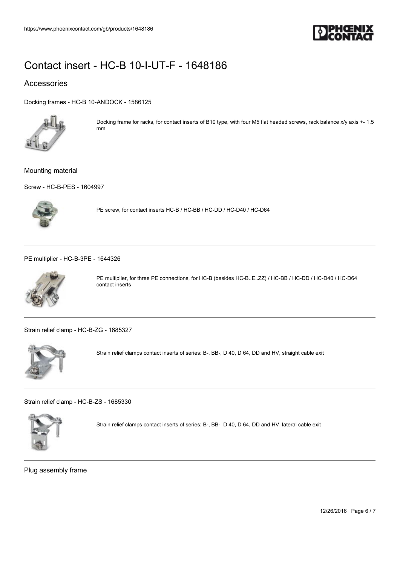

### Accessories

[Docking frames - HC-B 10-ANDOCK - 1586125](https://www.phoenixcontact.com/gb/products/1586125)



Docking frame for racks, for contact inserts of B10 type, with four M5 flat headed screws, rack balance x/y axis +- 1.5 mm

#### Mounting material

[Screw - HC-B-PES - 1604997](https://www.phoenixcontact.com/gb/products/1604997)



PE screw, for contact inserts HC-B / HC-BB / HC-DD / HC-D40 / HC-D64

[PE multiplier - HC-B-3PE - 1644326](https://www.phoenixcontact.com/gb/products/1644326)



PE multiplier, for three PE connections, for HC-B (besides HC-B..E..ZZ) / HC-BB / HC-DD / HC-D40 / HC-D64 contact inserts

[Strain relief clamp - HC-B-ZG - 1685327](https://www.phoenixcontact.com/gb/products/1685327)



Strain relief clamps contact inserts of series: B-, BB-, D 40, D 64, DD and HV, straight cable exit

[Strain relief clamp - HC-B-ZS - 1685330](https://www.phoenixcontact.com/gb/products/1685330)



Strain relief clamps contact inserts of series: B-, BB-, D 40, D 64, DD and HV, lateral cable exit

Plug assembly frame